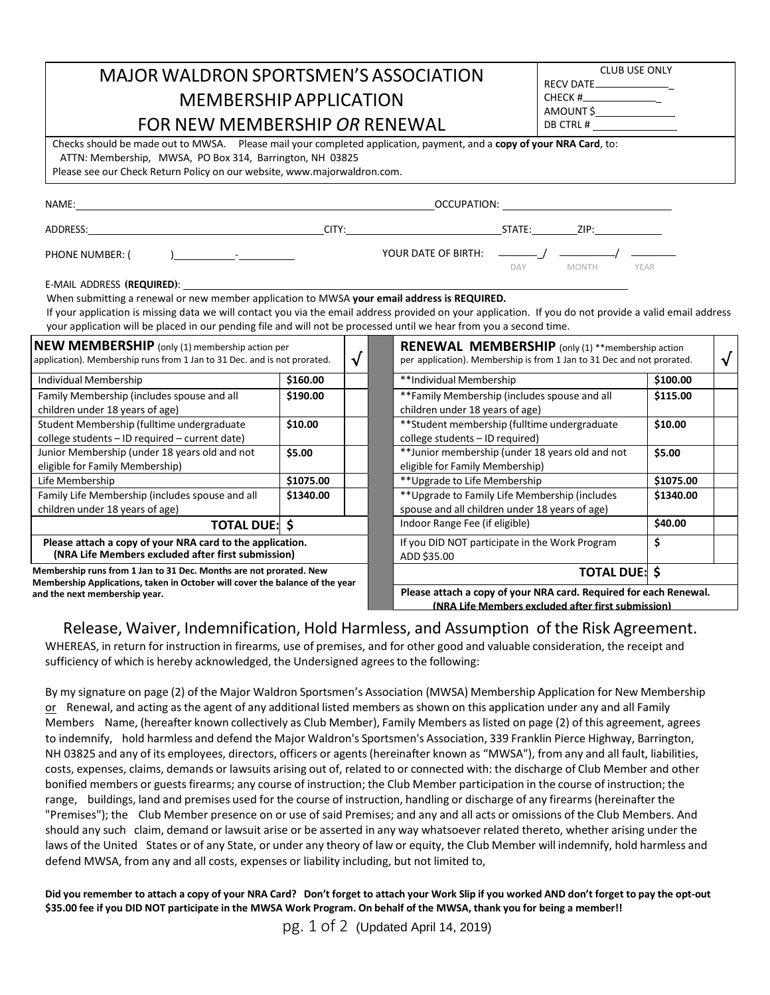|                                                                                                                                                                                                                                                                                                                                                         | <b>CLUB USE ONLY</b><br><b>MAJOR WALDRON SPORTSMEN'S ASSOCIATION</b><br>RECV DATE ________________ |                             |  |  |  |  |  |  |
|---------------------------------------------------------------------------------------------------------------------------------------------------------------------------------------------------------------------------------------------------------------------------------------------------------------------------------------------------------|----------------------------------------------------------------------------------------------------|-----------------------------|--|--|--|--|--|--|
| <b>MEMBERSHIP APPLICATION</b>                                                                                                                                                                                                                                                                                                                           | AMOUNT \$                                                                                          |                             |  |  |  |  |  |  |
| FOR NEW MEMBERSHIP OR RENEWAL                                                                                                                                                                                                                                                                                                                           | DB CTRL # _________________                                                                        |                             |  |  |  |  |  |  |
| Checks should be made out to MWSA. Please mail your completed application, payment, and a copy of your NRA Card, to:<br>ATTN: Membership, MWSA, PO Box 314, Barrington, NH 03825<br>Please see our Check Return Policy on our website, www.majorwaldron.com.                                                                                            |                                                                                                    |                             |  |  |  |  |  |  |
|                                                                                                                                                                                                                                                                                                                                                         |                                                                                                    |                             |  |  |  |  |  |  |
| ADDRESS:                       CITY:              STATE:    ZIP:                                                                                                                                                                                                                                                                                        |                                                                                                    |                             |  |  |  |  |  |  |
| PHONE NUMBER: (<br>) and $\overline{a}$ and $\overline{a}$ and $\overline{a}$ and $\overline{a}$ and $\overline{a}$ and $\overline{a}$ and $\overline{a}$ and $\overline{a}$ and $\overline{a}$ and $\overline{a}$ and $\overline{a}$ and $\overline{a}$ and $\overline{a}$ and $\overline{a}$ and $\overline{a}$ and $\overline{a}$ and $\overline{a}$ |                                                                                                    | DAY<br><b>MONTH</b><br>YEAR |  |  |  |  |  |  |
| E-MAIL ADDRESS (REQUIRED):                                                                                                                                                                                                                                                                                                                              |                                                                                                    |                             |  |  |  |  |  |  |

When submitting a renewal or new member application to MWSA **your email address is REQUIRED.** 

If your application is missing data we will contact you via the email address provided on your application. If you do not provide a valid email address your application will be placed in our pending file and will not be processed until we hear from you a second time.

| <b>NEW MEMBERSHIP</b> (only (1) membership action per<br>application). Membership runs from 1 Jan to 31 Dec. and is not prorated. |           | V | <b>RENEWAL MEMBERSHIP</b> (only (1) **membership action<br>per application). Membership is from 1 Jan to 31 Dec and not prorated. |           |  |
|-----------------------------------------------------------------------------------------------------------------------------------|-----------|---|-----------------------------------------------------------------------------------------------------------------------------------|-----------|--|
| Individual Membership                                                                                                             | \$160.00  |   | **Individual Membership                                                                                                           | \$100.00  |  |
| Family Membership (includes spouse and all<br>children under 18 years of age)                                                     | \$190.00  |   | **Family Membership (includes spouse and all<br>children under 18 years of age)                                                   | \$115.00  |  |
| Student Membership (fulltime undergraduate<br>college students - ID required - current date)                                      | \$10.00   |   | ** Student membership (fulltime undergraduate<br>college students - ID required)                                                  | \$10.00   |  |
| Junior Membership (under 18 years old and not<br>eligible for Family Membership)                                                  | \$5.00    |   | **Junior membership (under 18 years old and not<br>eligible for Family Membership)                                                | \$5.00    |  |
| Life Membership                                                                                                                   | \$1075.00 |   | ** Upgrade to Life Membership                                                                                                     | \$1075.00 |  |
| Family Life Membership (includes spouse and all<br>children under 18 years of age)                                                | \$1340.00 |   | ** Upgrade to Family Life Membership (includes<br>spouse and all children under 18 years of age)                                  | \$1340.00 |  |
| <b>TOTAL DUE: \$</b>                                                                                                              |           |   | Indoor Range Fee (if eligible)                                                                                                    | \$40.00   |  |
| Please attach a copy of your NRA card to the application.<br>(NRA Life Members excluded after first submission)                   |           |   | If you DID NOT participate in the Work Program<br>ADD \$35.00                                                                     | \$        |  |

**Membership runs from 1 Jan to 31 Dec. Months are not prorated. New Membership Applications, taken in October will cover the balance of the year and the next membership year.**

| nbership action per<br>o 31 Dec. and is not prorated.<br>√          |           |  |                                                                  | <b>RENEWAL MEMBERSHIP</b> (only (1) **membership action<br>per application). Membership is from 1 Jan to 31 Dec and not prorated. |           |  |  |
|---------------------------------------------------------------------|-----------|--|------------------------------------------------------------------|-----------------------------------------------------------------------------------------------------------------------------------|-----------|--|--|
|                                                                     | \$160.00  |  |                                                                  | **Individual Membership                                                                                                           | \$100.00  |  |  |
| nd all                                                              | \$190.00  |  |                                                                  | **Family Membership (includes spouse and all<br>children under 18 years of age)                                                   | \$115.00  |  |  |
| raduate<br>וt date)                                                 | \$10.00   |  |                                                                  | ** Student membership (fulltime undergraduate<br>college students - ID required)                                                  | \$10.00   |  |  |
| d and not                                                           | \$5.00    |  |                                                                  | **Junior membership (under 18 years old and not<br>eligible for Family Membership)                                                | \$5.00    |  |  |
|                                                                     | \$1075.00 |  |                                                                  | ** Upgrade to Life Membership                                                                                                     | \$1075.00 |  |  |
| use and all                                                         | \$1340.00 |  |                                                                  | ** Upgrade to Family Life Membership (includes<br>spouse and all children under 18 years of age)                                  | \$1340.00 |  |  |
| TOTAL DUE: \$                                                       |           |  |                                                                  | Indoor Range Fee (if eligible)                                                                                                    | \$40.00   |  |  |
| d to the application.<br>r first submission)                        |           |  |                                                                  | If you DID NOT participate in the Work Program<br>ADD \$35.00                                                                     | Ś         |  |  |
| onths are not prorated. New<br>r will cover the balance of the year |           |  | <b>TOTAL DUE: \$</b>                                             |                                                                                                                                   |           |  |  |
|                                                                     |           |  | Please attach a conv of your NRA card. Required for each Renewal |                                                                                                                                   |           |  |  |

**Please attach a copy of your NRA card. Required for each Renewal. (NRA Life Members excluded after first submission)**

## Release, Waiver, Indemnification, Hold Harmless, and Assumption of the Risk Agreement.

WHEREAS, in return for instruction in firearms, use of premises, and for other good and valuable consideration, the receipt and sufficiency of which is hereby acknowledged, the Undersigned agrees to the following:

By my signature on page (2) of the Major Waldron Sportsmen's Association (MWSA) Membership Application for New Membership or Renewal, and acting asthe agent of any additional listed members as shown on this application under any and all Family Members Name, (hereafter known collectively as Club Member), Family Members aslisted on page (2) of this agreement, agrees to indemnify, hold harmless and defend the Major Waldron's Sportsmen's Association, 339 Franklin Pierce Highway, Barrington, NH 03825 and any of its employees, directors, officers or agents(hereinafter known as "MWSA"), from any and all fault, liabilities, costs, expenses, claims, demands or lawsuits arising out of, related to or connected with: the discharge of Club Member and other bonified members or guests firearms; any course of instruction; the Club Member participation in the course of instruction; the range, buildings, land and premises used for the course of instruction, handling or discharge of any firearms(hereinafter the "Premises"); the Club Member presence on or use of said Premises; and any and all acts or omissions of the Club Members. And should any such claim, demand or lawsuit arise or be asserted in any way whatsoever related thereto, whether arising under the laws of the United States or of any State, or under any theory of law or equity, the Club Member will indemnify, hold harmless and defend MWSA, from any and all costs, expenses or liability including, but not limited to,

Did you remember to attach a copy of your NRA Card? Don't forget to attach your Work Slip if you worked AND don't forget to pay the opt-out \$35.00 fee if you DID NOT participate in the MWSA Work Program. On behalf of the MWSA, thank you for being a member!!

pg. 1 of 2 (Updated April 14, 2019)